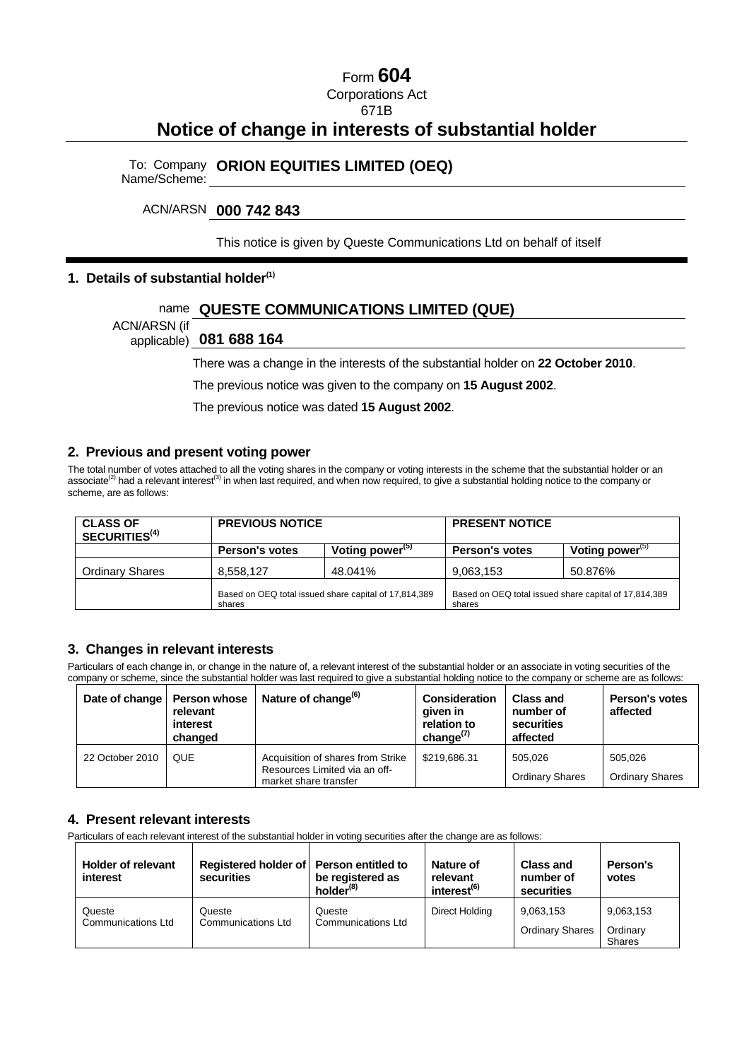## Form **604**

Corporations Act

671B

# **Notice of change in interests of substantial holder**

To: Company Name/Scheme: **ORION EQUITIES LIMITED (OEQ)** 

### ACN/ARSN **000 742 843**

This notice is given by Queste Communications Ltd on behalf of itself

#### **1. Details of substantial holder(1)**

### name **QUESTE COMMUNICATIONS LIMITED (QUE)**

ACN/ARSN (if

applicable) **081 688 164** 

There was a change in the interests of the substantial holder on **22 October 2010**.

The previous notice was given to the company on **15 August 2002**.

The previous notice was dated **15 August 2002**.

#### **2. Previous and present voting power**

The total number of votes attached to all the voting shares in the company or voting interests in the scheme that the substantial holder or an associate<sup>(2)</sup> had a relevant interest<sup>(3)</sup> in when last required, and when now required, to give a substantial holding notice to the company or scheme, are as follows:

| <b>CLASS OF</b><br>SECURITIES <sup>(4)</sup> |                       | <b>PREVIOUS NOTICE</b>                                |                       | <b>PRESENT NOTICE</b>                                 |  |  |
|----------------------------------------------|-----------------------|-------------------------------------------------------|-----------------------|-------------------------------------------------------|--|--|
|                                              | <b>Person's votes</b> | Voting power <sup>(5)</sup>                           | <b>Person's votes</b> | Voting power <sup>(5)</sup>                           |  |  |
| <b>Ordinary Shares</b>                       | 8,558,127             | 48.041%                                               | 9,063,153             | 50.876%                                               |  |  |
|                                              | shares                | Based on OEQ total issued share capital of 17,814,389 |                       | Based on OEQ total issued share capital of 17,814,389 |  |  |

### **3. Changes in relevant interests**

Particulars of each change in, or change in the nature of, a relevant interest of the substantial holder or an associate in voting securities of the company or scheme, since the substantial holder was last required to give a substantial holding notice to the company or scheme are as follows:

| Date of change   Person whose | relevant<br>interest<br>changed | Nature of change <sup>(6)</sup>                                                             | <b>Consideration</b><br>given in<br>relation to<br>change $\binom{n}{k}$ | <b>Class and</b><br>number of<br>securities<br>affected | <b>Person's votes</b><br>affected |
|-------------------------------|---------------------------------|---------------------------------------------------------------------------------------------|--------------------------------------------------------------------------|---------------------------------------------------------|-----------------------------------|
| 22 October 2010               | <b>QUE</b>                      | Acquisition of shares from Strike<br>Resources Limited via an off-<br>market share transfer | \$219.686.31                                                             | 505.026<br><b>Ordinary Shares</b>                       | 505.026<br><b>Ordinary Shares</b> |

#### **4. Present relevant interests**

Particulars of each relevant interest of the substantial holder in voting securities after the change are as follows:

| <b>Holder of relevant</b><br>interest | Registered holder of Person entitled to<br>securities | be registered as<br>holder <sup>(8)</sup> | Nature of<br>relevant<br>interest <sup>(6)</sup> | <b>Class and</b><br>number of<br>securities | Person's<br>votes                      |
|---------------------------------------|-------------------------------------------------------|-------------------------------------------|--------------------------------------------------|---------------------------------------------|----------------------------------------|
| Queste<br><b>Communications Ltd</b>   | Queste<br><b>Communications Ltd</b>                   | Queste<br><b>Communications Ltd</b>       | Direct Holding                                   | 9,063,153<br><b>Ordinary Shares</b>         | 9,063,153<br>Ordinary<br><b>Shares</b> |